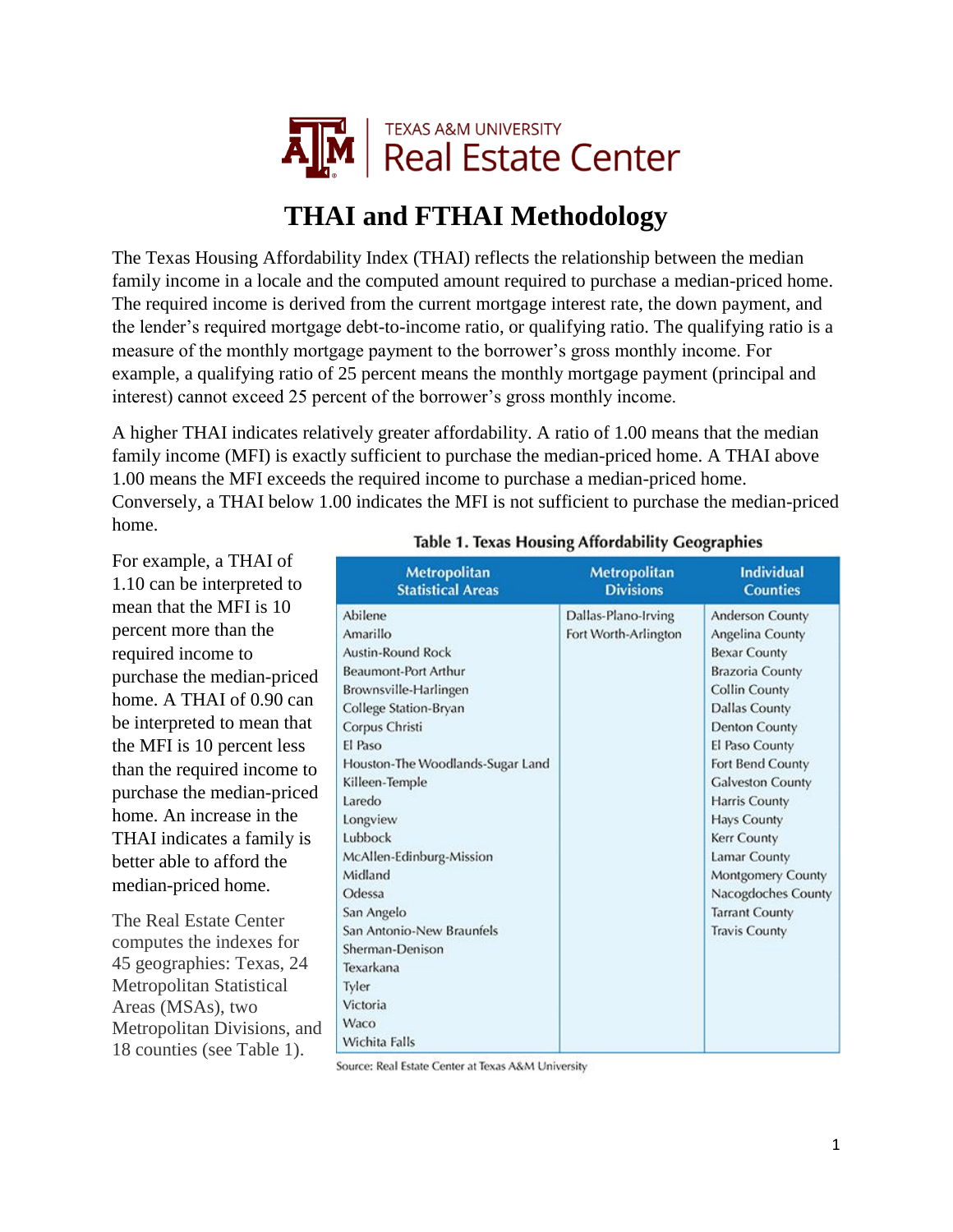

## **THAI and FTHAI Methodology**

The Texas Housing Affordability Index (THAI) reflects the relationship between the median family income in a locale and the computed amount required to purchase a median-priced home. The required income is derived from the current mortgage interest rate, the down payment, and the lender's required mortgage debt-to-income ratio, or qualifying ratio. The qualifying ratio is a measure of the monthly mortgage payment to the borrower's gross monthly income. For example, a qualifying ratio of 25 percent means the monthly mortgage payment (principal and interest) cannot exceed 25 percent of the borrower's gross monthly income.

A higher THAI indicates relatively greater affordability. A ratio of 1.00 means that the median family income (MFI) is exactly sufficient to purchase the median-priced home. A THAI above 1.00 means the MFI exceeds the required income to purchase a median-priced home. Conversely, a THAI below 1.00 indicates the MFI is not sufficient to purchase the median-priced home.

For example, a THAI of 1.10 can be interpreted to mean that the MFI is 10 percent more than the required income to purchase the median-priced home. A THAI of 0.90 can be interpreted to mean that the MFI is 10 percent less than the required income to purchase the median-priced home. An increase in the THAI indicates a family is better able to afford the median-priced home.

The Real Estate Center computes the indexes for 45 geographies: Texas, 24 Metropolitan Statistical Areas (MSAs), two Metropolitan Divisions, and 18 counties (see Table 1).

|  |  |  |  | Table 1. Texas Housing Affordability Geographies |
|--|--|--|--|--------------------------------------------------|
|--|--|--|--|--------------------------------------------------|

| <b>Metropolitan</b>                                                                                                                                                                                                                                                                                                                                                                                                     | <b>Metropolitan</b>                         | <b>Individual</b>                                                                                                                                                                                                                                                                                                                                                                |
|-------------------------------------------------------------------------------------------------------------------------------------------------------------------------------------------------------------------------------------------------------------------------------------------------------------------------------------------------------------------------------------------------------------------------|---------------------------------------------|----------------------------------------------------------------------------------------------------------------------------------------------------------------------------------------------------------------------------------------------------------------------------------------------------------------------------------------------------------------------------------|
| <b>Statistical Areas</b>                                                                                                                                                                                                                                                                                                                                                                                                | <b>Divisions</b>                            | <b>Counties</b>                                                                                                                                                                                                                                                                                                                                                                  |
| Abilene<br>Amarillo<br><b>Austin-Round Rock</b><br>Beaumont-Port Arthur<br>Brownsville-Harlingen<br>College Station-Bryan<br>Corpus Christi<br>El Paso<br>Houston-The Woodlands-Sugar Land<br>Killeen-Temple<br>Laredo<br>Longview<br>Lubbock<br>McAllen-Edinburg-Mission<br>Midland<br>Odessa<br>San Angelo<br>San Antonio-New Braunfels<br>Sherman-Denison<br>Texarkana<br>Tyler<br>Victoria<br>Waco<br>Wichita Falls | Dallas-Plano-Irving<br>Fort Worth-Arlington | Anderson County<br>Angelina County<br><b>Bexar County</b><br>Brazoria County<br><b>Collin County</b><br><b>Dallas County</b><br>Denton County<br>El Paso County<br>Fort Bend County<br><b>Galveston County</b><br>Harris County<br><b>Hays County</b><br>Kerr County<br>Lamar County<br>Montgomery County<br>Nacogdoches County<br><b>Tarrant County</b><br><b>Travis County</b> |

Source: Real Estate Center at Texas A&M University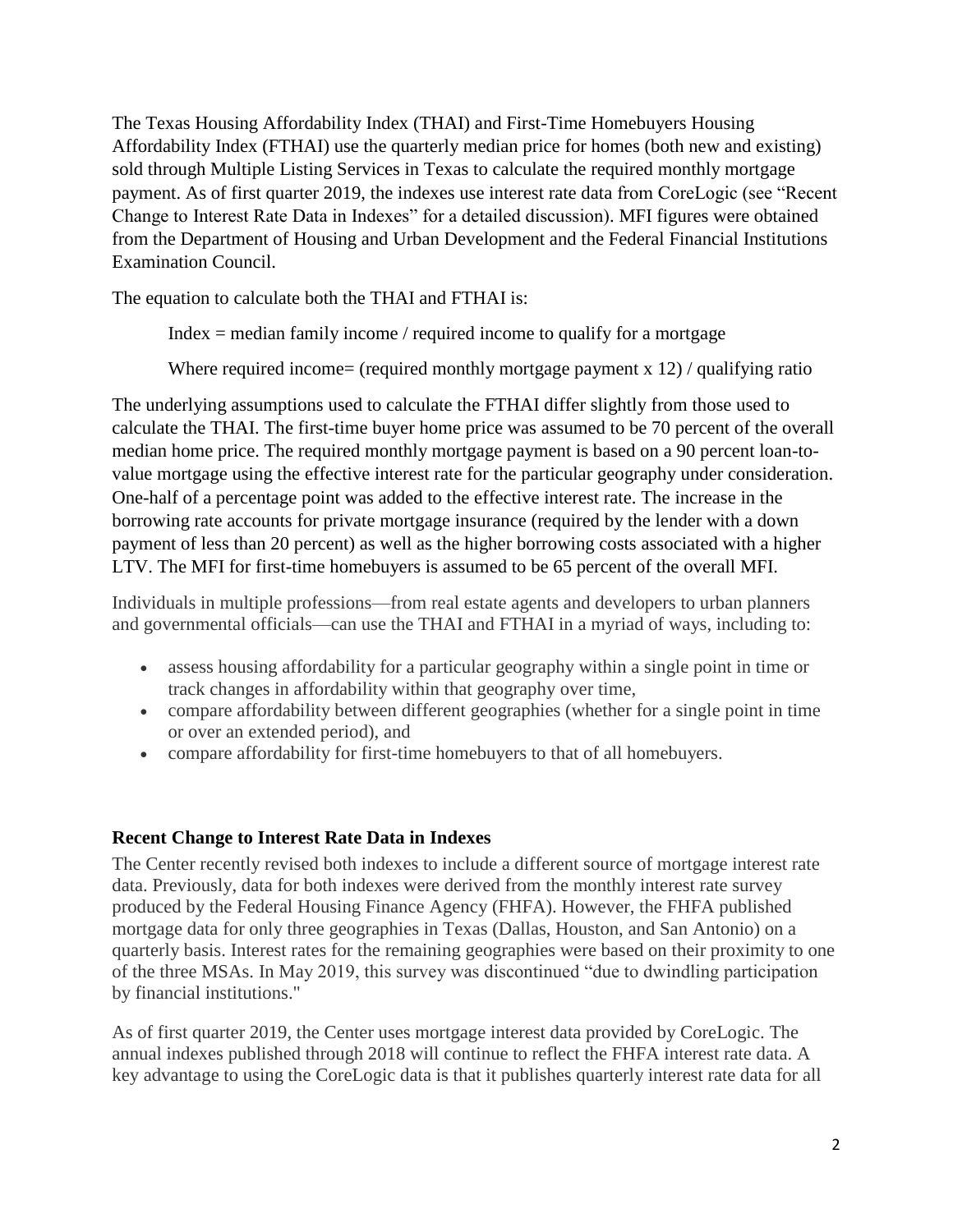The Texas Housing Affordability Index (THAI) and First-Time Homebuyers Housing Affordability Index (FTHAI) use the quarterly median price for homes (both new and existing) sold through Multiple Listing Services in Texas to calculate the required monthly mortgage payment. As of first quarter 2019, the indexes use interest rate data from CoreLogic (see "Recent Change to Interest Rate Data in Indexes" for a detailed discussion). MFI figures were obtained from the Department of Housing and Urban Development and the Federal Financial Institutions Examination Council.

The equation to calculate both the THAI and FTHAI is:

Index  $=$  median family income / required income to qualify for a mortgage

Where required income= (required monthly mortgage payment  $x \frac{12}{1}$  qualifying ratio

The underlying assumptions used to calculate the FTHAI differ slightly from those used to calculate the THAI. The first-time buyer home price was assumed to be 70 percent of the overall median home price. The required monthly mortgage payment is based on a 90 percent loan-tovalue mortgage using the effective interest rate for the particular geography under consideration. One-half of a percentage point was added to the effective interest rate. The increase in the borrowing rate accounts for private mortgage insurance (required by the lender with a down payment of less than 20 percent) as well as the higher borrowing costs associated with a higher LTV. The MFI for first-time homebuyers is assumed to be 65 percent of the overall MFI.

Individuals in multiple professions—from real estate agents and developers to urban planners and governmental officials—can use the THAI and FTHAI in a myriad of ways, including to:

- assess housing affordability for a particular geography within a single point in time or track changes in affordability within that geography over time,
- compare affordability between different geographies (whether for a single point in time or over an extended period), and
- compare affordability for first-time homebuyers to that of all homebuyers.

## **Recent Change to Interest Rate Data in Indexes**

The Center recently revised both indexes to include a different source of mortgage interest rate data. Previously, data for both indexes were derived from the monthly interest rate survey produced by the Federal Housing Finance Agency (FHFA). However, the FHFA published mortgage data for only three geographies in Texas (Dallas, Houston, and San Antonio) on a quarterly basis. Interest rates for the remaining geographies were based on their proximity to one of the three MSAs. In May 2019, this survey was discontinued "due to dwindling participation by financial institutions."

As of first quarter 2019, the Center uses mortgage interest data provided by CoreLogic. The annual indexes published through 2018 will continue to reflect the FHFA interest rate data. A key advantage to using the CoreLogic data is that it publishes quarterly interest rate data for all